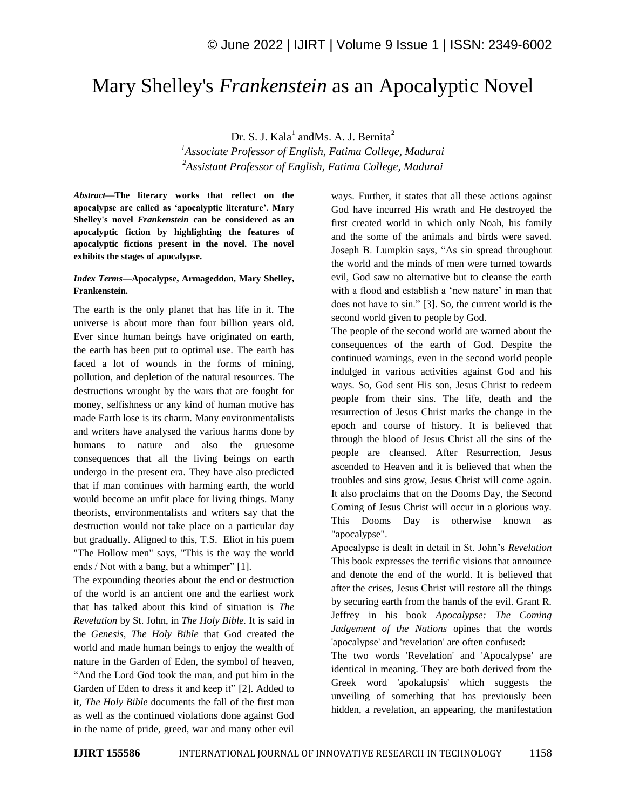## Mary Shelley's *Frankenstein* as an Apocalyptic Novel

Dr. S. J. Kala<sup>1</sup> and Ms. A. J. Bernita<sup>2</sup>

*<sup>1</sup>Associate Professor of English, Fatima College, Madurai <sup>2</sup>Assistant Professor of English, Fatima College, Madurai*

*Abstract—***The literary works that reflect on the apocalypse are called as 'apocalyptic literature'. Mary Shelley's novel** *Frankenstein* **can be considered as an apocalyptic fiction by highlighting the features of apocalyptic fictions present in the novel. The novel exhibits the stages of apocalypse.**

## *Index Terms—***Apocalypse, Armageddon, Mary Shelley, Frankenstein.**

The earth is the only planet that has life in it. The universe is about more than four billion years old. Ever since human beings have originated on earth, the earth has been put to optimal use. The earth has faced a lot of wounds in the forms of mining, pollution, and depletion of the natural resources. The destructions wrought by the wars that are fought for money, selfishness or any kind of human motive has made Earth lose is its charm. Many environmentalists and writers have analysed the various harms done by humans to nature and also the gruesome consequences that all the living beings on earth undergo in the present era. They have also predicted that if man continues with harming earth, the world would become an unfit place for living things. Many theorists, environmentalists and writers say that the destruction would not take place on a particular day but gradually. Aligned to this, T.S. Eliot in his poem "The Hollow men" says, "This is the way the world ends / Not with a bang, but a whimper" [1].

The expounding theories about the end or destruction of the world is an ancient one and the earliest work that has talked about this kind of situation is *The Revelation* by St. John, in *The Holy Bible.* It is said in the *Genesis, The Holy Bible* that God created the world and made human beings to enjoy the wealth of nature in the Garden of Eden, the symbol of heaven, "And the Lord God took the man, and put him in the Garden of Eden to dress it and keep it" [2]. Added to it, *The Holy Bible* documents the fall of the first man as well as the continued violations done against God in the name of pride, greed, war and many other evil ways. Further, it states that all these actions against God have incurred His wrath and He destroyed the first created world in which only Noah, his family and the some of the animals and birds were saved. Joseph B. Lumpkin says, "As sin spread throughout the world and the minds of men were turned towards evil, God saw no alternative but to cleanse the earth with a flood and establish a 'new nature' in man that does not have to sin." [3]. So, the current world is the second world given to people by God.

The people of the second world are warned about the consequences of the earth of God. Despite the continued warnings, even in the second world people indulged in various activities against God and his ways. So, God sent His son, Jesus Christ to redeem people from their sins. The life, death and the resurrection of Jesus Christ marks the change in the epoch and course of history. It is believed that through the blood of Jesus Christ all the sins of the people are cleansed. After Resurrection, Jesus ascended to Heaven and it is believed that when the troubles and sins grow, Jesus Christ will come again. It also proclaims that on the Dooms Day, the Second Coming of Jesus Christ will occur in a glorious way. This Dooms Day is otherwise known as "apocalypse".

Apocalypse is dealt in detail in St. John"s *Revelation* This book expresses the terrific visions that announce and denote the end of the world. It is believed that after the crises, Jesus Christ will restore all the things by securing earth from the hands of the evil. Grant R. Jeffrey in his book *Apocalypse: The Coming Judgement of the Nations* opines that the words 'apocalypse' and 'revelation' are often confused:

The two words 'Revelation' and 'Apocalypse' are identical in meaning. They are both derived from the Greek word 'apokalupsis' which suggests the unveiling of something that has previously been hidden, a revelation, an appearing, the manifestation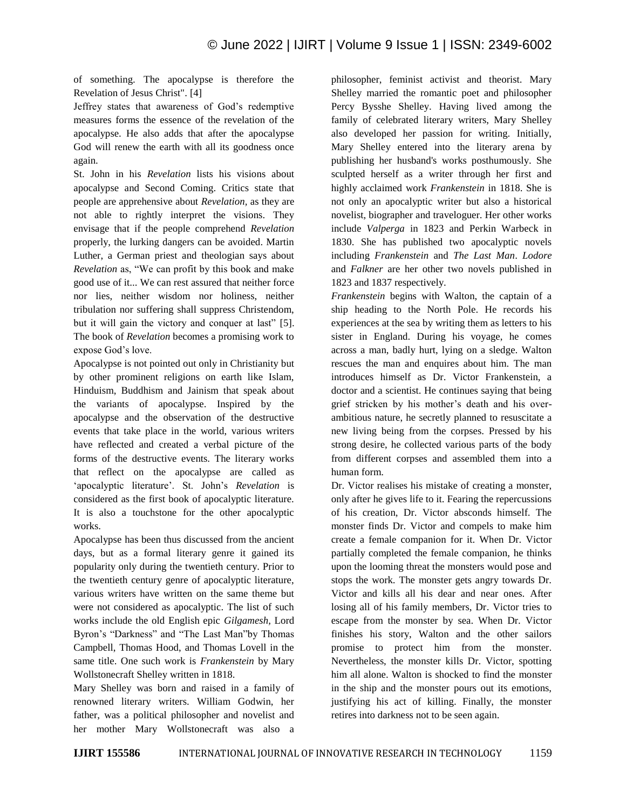of something. The apocalypse is therefore the Revelation of Jesus Christ". [4]

Jeffrey states that awareness of God"s redemptive measures forms the essence of the revelation of the apocalypse. He also adds that after the apocalypse God will renew the earth with all its goodness once again.

St. John in his *Revelation* lists his visions about apocalypse and Second Coming. Critics state that people are apprehensive about *Revelation,* as they are not able to rightly interpret the visions. They envisage that if the people comprehend *Revelation*  properly, the lurking dangers can be avoided. Martin Luther, a German priest and theologian says about *Revelation* as, "We can profit by this book and make good use of it... We can rest assured that neither force nor lies, neither wisdom nor holiness, neither tribulation nor suffering shall suppress Christendom, but it will gain the victory and conquer at last" [5]. The book of *Revelation* becomes a promising work to expose God's love.

Apocalypse is not pointed out only in Christianity but by other prominent religions on earth like Islam, Hinduism, Buddhism and Jainism that speak about the variants of apocalypse. Inspired by the apocalypse and the observation of the destructive events that take place in the world, various writers have reflected and created a verbal picture of the forms of the destructive events. The literary works that reflect on the apocalypse are called as "apocalyptic literature". St. John"s *Revelation* is considered as the first book of apocalyptic literature. It is also a touchstone for the other apocalyptic works.

Apocalypse has been thus discussed from the ancient days, but as a formal literary genre it gained its popularity only during the twentieth century. Prior to the twentieth century genre of apocalyptic literature, various writers have written on the same theme but were not considered as apocalyptic. The list of such works include the old English epic *Gilgamesh,* Lord Byron"s "Darkness" and "The Last Man"by Thomas Campbell, Thomas Hood, and Thomas Lovell in the same title. One such work is *Frankenstein* by Mary Wollstonecraft Shelley written in 1818.

Mary Shelley was born and raised in a family of renowned literary writers. William Godwin, her father, was a political philosopher and novelist and her mother Mary Wollstonecraft was also a philosopher, feminist activist and theorist. Mary Shelley married the romantic poet and philosopher Percy Bysshe Shelley. Having lived among the family of celebrated literary writers, Mary Shelley also developed her passion for writing. Initially, Mary Shelley entered into the literary arena by publishing her husband's works posthumously. She sculpted herself as a writer through her first and highly acclaimed work *Frankenstein* in 1818. She is not only an apocalyptic writer but also a historical novelist, biographer and traveloguer. Her other works include *Valperga* in 1823 and Perkin Warbeck in 1830. She has published two apocalyptic novels including *Frankenstein* and *The Last Man*. *Lodore* and *Falkner* are her other two novels published in 1823 and 1837 respectively.

*Frankenstein* begins with Walton, the captain of a ship heading to the North Pole. He records his experiences at the sea by writing them as letters to his sister in England. During his voyage, he comes across a man, badly hurt, lying on a sledge. Walton rescues the man and enquires about him. The man introduces himself as Dr. Victor Frankenstein, a doctor and a scientist. He continues saying that being grief stricken by his mother"s death and his overambitious nature, he secretly planned to resuscitate a new living being from the corpses. Pressed by his strong desire, he collected various parts of the body from different corpses and assembled them into a human form.

Dr. Victor realises his mistake of creating a monster, only after he gives life to it. Fearing the repercussions of his creation, Dr. Victor absconds himself. The monster finds Dr. Victor and compels to make him create a female companion for it. When Dr. Victor partially completed the female companion, he thinks upon the looming threat the monsters would pose and stops the work. The monster gets angry towards Dr. Victor and kills all his dear and near ones. After losing all of his family members, Dr. Victor tries to escape from the monster by sea. When Dr. Victor finishes his story, Walton and the other sailors promise to protect him from the monster. Nevertheless, the monster kills Dr. Victor, spotting him all alone. Walton is shocked to find the monster in the ship and the monster pours out its emotions, justifying his act of killing. Finally, the monster retires into darkness not to be seen again.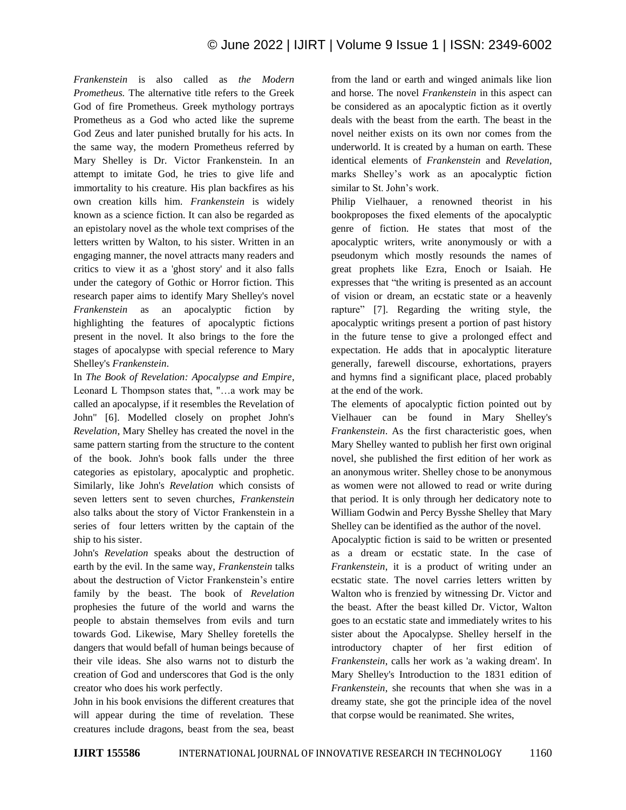*Frankenstein* is also called as *the Modern Prometheus.* The alternative title refers to the Greek God of fire Prometheus. Greek mythology portrays Prometheus as a God who acted like the supreme God Zeus and later punished brutally for his acts. In the same way, the modern Prometheus referred by Mary Shelley is Dr. Victor Frankenstein. In an attempt to imitate God, he tries to give life and immortality to his creature. His plan backfires as his own creation kills him. *Frankenstein* is widely known as a science fiction. It can also be regarded as an epistolary novel as the whole text comprises of the letters written by Walton, to his sister. Written in an engaging manner, the novel attracts many readers and critics to view it as a 'ghost story' and it also falls under the category of Gothic or Horror fiction. This research paper aims to identify Mary Shelley's novel *Frankenstein* as an apocalyptic fiction by highlighting the features of apocalyptic fictions present in the novel. It also brings to the fore the stages of apocalypse with special reference to Mary Shelley's *Frankenstein*.

In *The Book of Revelation: Apocalypse and Empire*, Leonard L Thompson states that, "…a work may be called an apocalypse, if it resembles the Revelation of John" [6]. Modelled closely on prophet John's *Revelation*, Mary Shelley has created the novel in the same pattern starting from the structure to the content of the book. John's book falls under the three categories as epistolary, apocalyptic and prophetic. Similarly, like John's *Revelation* which consists of seven letters sent to seven churches, *Frankenstein* also talks about the story of Victor Frankenstein in a series of four letters written by the captain of the ship to his sister.

John's *Revelation* speaks about the destruction of earth by the evil. In the same way, *Frankenstein* talks about the destruction of Victor Frankenstein's entire family by the beast. The book of *Revelation* prophesies the future of the world and warns the people to abstain themselves from evils and turn towards God. Likewise, Mary Shelley foretells the dangers that would befall of human beings because of their vile ideas. She also warns not to disturb the creation of God and underscores that God is the only creator who does his work perfectly.

John in his book envisions the different creatures that will appear during the time of revelation. These creatures include dragons, beast from the sea, beast from the land or earth and winged animals like lion and horse. The novel *Frankenstein* in this aspect can be considered as an apocalyptic fiction as it overtly deals with the beast from the earth. The beast in the novel neither exists on its own nor comes from the underworld. It is created by a human on earth. These identical elements of *Frankenstein* and *Revelation,*  marks Shelley"s work as an apocalyptic fiction similar to St. John"s work.

Philip Vielhauer, a renowned theorist in his bookproposes the fixed elements of the apocalyptic genre of fiction. He states that most of the apocalyptic writers, write anonymously or with a pseudonym which mostly resounds the names of great prophets like Ezra, Enoch or Isaiah. He expresses that "the writing is presented as an account of vision or dream, an ecstatic state or a heavenly rapture" [7]. Regarding the writing style, the apocalyptic writings present a portion of past history in the future tense to give a prolonged effect and expectation. He adds that in apocalyptic literature generally, farewell discourse, exhortations, prayers and hymns find a significant place, placed probably at the end of the work.

The elements of apocalyptic fiction pointed out by Vielhauer can be found in Mary Shelley's *Frankenstein*. As the first characteristic goes, when Mary Shelley wanted to publish her first own original novel, she published the first edition of her work as an anonymous writer. Shelley chose to be anonymous as women were not allowed to read or write during that period. It is only through her dedicatory note to William Godwin and Percy Bysshe Shelley that Mary Shelley can be identified as the author of the novel.

Apocalyptic fiction is said to be written or presented as a dream or ecstatic state. In the case of *Frankenstein*, it is a product of writing under an ecstatic state. The novel carries letters written by Walton who is frenzied by witnessing Dr. Victor and the beast. After the beast killed Dr. Victor, Walton goes to an ecstatic state and immediately writes to his sister about the Apocalypse. Shelley herself in the introductory chapter of her first edition of *Frankenstein*, calls her work as 'a waking dream'. In Mary Shelley's Introduction to the 1831 edition of *Frankenstein*, she recounts that when she was in a dreamy state, she got the principle idea of the novel that corpse would be reanimated. She writes,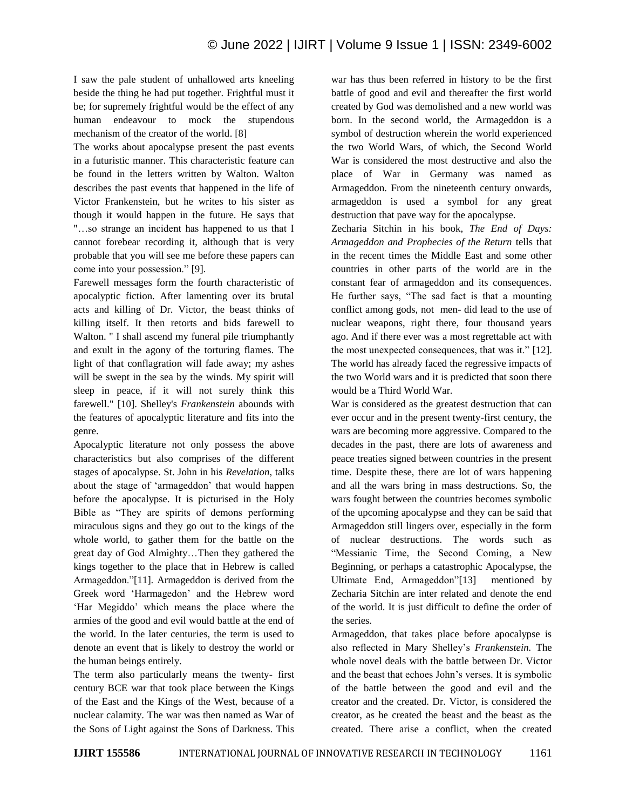I saw the pale student of unhallowed arts kneeling beside the thing he had put together. Frightful must it be; for supremely frightful would be the effect of any human endeavour to mock the stupendous mechanism of the creator of the world. [8]

The works about apocalypse present the past events in a futuristic manner. This characteristic feature can be found in the letters written by Walton. Walton describes the past events that happened in the life of Victor Frankenstein, but he writes to his sister as though it would happen in the future. He says that "…so strange an incident has happened to us that I cannot forebear recording it, although that is very probable that you will see me before these papers can come into your possession." [9].

Farewell messages form the fourth characteristic of apocalyptic fiction. After lamenting over its brutal acts and killing of Dr. Victor, the beast thinks of killing itself. It then retorts and bids farewell to Walton. " I shall ascend my funeral pile triumphantly and exult in the agony of the torturing flames. The light of that conflagration will fade away; my ashes will be swept in the sea by the winds. My spirit will sleep in peace, if it will not surely think this farewell." [10]. Shelley's *Frankenstein* abounds with the features of apocalyptic literature and fits into the genre.

Apocalyptic literature not only possess the above characteristics but also comprises of the different stages of apocalypse. St. John in his *Revelation*, talks about the stage of "armageddon" that would happen before the apocalypse. It is picturised in the Holy Bible as "They are spirits of demons performing miraculous signs and they go out to the kings of the whole world, to gather them for the battle on the great day of God Almighty…Then they gathered the kings together to the place that in Hebrew is called Armageddon."[11]*.* Armageddon is derived from the Greek word "Harmagedon" and the Hebrew word "Har Megiddo" which means the place where the armies of the good and evil would battle at the end of the world. In the later centuries, the term is used to denote an event that is likely to destroy the world or the human beings entirely.

The term also particularly means the twenty- first century BCE war that took place between the Kings of the East and the Kings of the West, because of a nuclear calamity. The war was then named as War of the Sons of Light against the Sons of Darkness. This war has thus been referred in history to be the first battle of good and evil and thereafter the first world created by God was demolished and a new world was born. In the second world, the Armageddon is a symbol of destruction wherein the world experienced the two World Wars, of which, the Second World War is considered the most destructive and also the place of War in Germany was named as Armageddon. From the nineteenth century onwards, armageddon is used a symbol for any great destruction that pave way for the apocalypse.

Zecharia Sitchin in his book, *The End of Days: Armageddon and Prophecies of the Return* tells that in the recent times the Middle East and some other countries in other parts of the world are in the constant fear of armageddon and its consequences. He further says, "The sad fact is that a mounting conflict among gods, not men- did lead to the use of nuclear weapons, right there, four thousand years ago. And if there ever was a most regrettable act with the most unexpected consequences, that was it." [12]. The world has already faced the regressive impacts of the two World wars and it is predicted that soon there would be a Third World War.

War is considered as the greatest destruction that can ever occur and in the present twenty-first century, the wars are becoming more aggressive. Compared to the decades in the past, there are lots of awareness and peace treaties signed between countries in the present time. Despite these, there are lot of wars happening and all the wars bring in mass destructions. So, the wars fought between the countries becomes symbolic of the upcoming apocalypse and they can be said that Armageddon still lingers over, especially in the form of nuclear destructions. The words such as "Messianic Time, the Second Coming, a New Beginning, or perhaps a catastrophic Apocalypse, the Ultimate End, Armageddon"[13] mentioned by Zecharia Sitchin are inter related and denote the end of the world. It is just difficult to define the order of the series.

Armageddon, that takes place before apocalypse is also reflected in Mary Shelley"s *Frankenstein.* The whole novel deals with the battle between Dr. Victor and the beast that echoes John"s verses. It is symbolic of the battle between the good and evil and the creator and the created. Dr. Victor, is considered the creator, as he created the beast and the beast as the created. There arise a conflict, when the created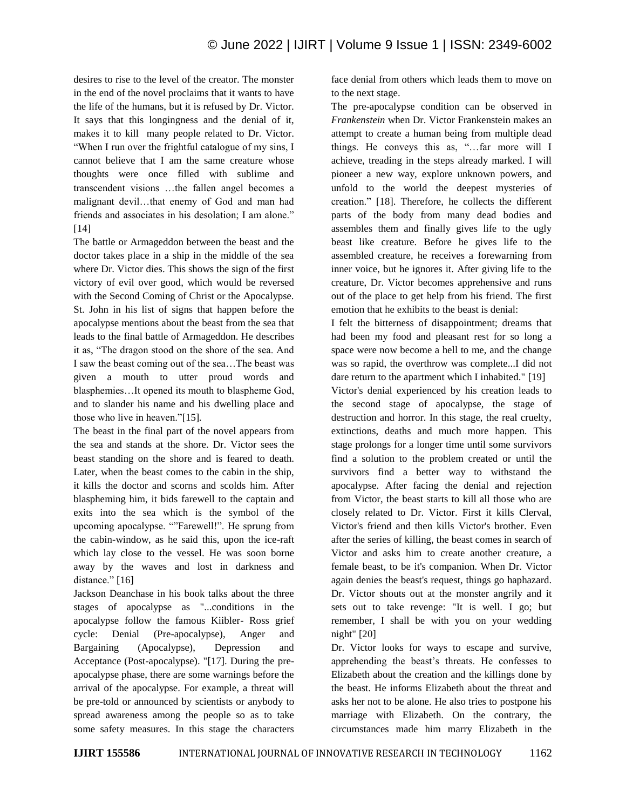desires to rise to the level of the creator. The monster in the end of the novel proclaims that it wants to have the life of the humans, but it is refused by Dr. Victor. It says that this longingness and the denial of it, makes it to kill many people related to Dr. Victor. "When I run over the frightful catalogue of my sins, I cannot believe that I am the same creature whose thoughts were once filled with sublime and transcendent visions …the fallen angel becomes a malignant devil…that enemy of God and man had friends and associates in his desolation; I am alone." [14]

The battle or Armageddon between the beast and the doctor takes place in a ship in the middle of the sea where Dr. Victor dies. This shows the sign of the first victory of evil over good, which would be reversed with the Second Coming of Christ or the Apocalypse. St. John in his list of signs that happen before the apocalypse mentions about the beast from the sea that leads to the final battle of Armageddon. He describes it as, "The dragon stood on the shore of the sea. And I saw the beast coming out of the sea…The beast was given a mouth to utter proud words and blasphemies…It opened its mouth to blaspheme God, and to slander his name and his dwelling place and those who live in heaven."[15]*.*

The beast in the final part of the novel appears from the sea and stands at the shore. Dr. Victor sees the beast standing on the shore and is feared to death. Later, when the beast comes to the cabin in the ship, it kills the doctor and scorns and scolds him. After blaspheming him, it bids farewell to the captain and exits into the sea which is the symbol of the upcoming apocalypse. ""Farewell!". He sprung from the cabin-window, as he said this, upon the ice-raft which lay close to the vessel. He was soon borne away by the waves and lost in darkness and distance." [16]

Jackson Deanchase in his book talks about the three stages of apocalypse as "...conditions in the apocalypse follow the famous Kiibler- Ross grief cycle: Denial (Pre-apocalypse), Anger and Bargaining (Apocalypse), Depression and Acceptance (Post-apocalypse). "[17]. During the preapocalypse phase, there are some warnings before the arrival of the apocalypse. For example, a threat will be pre-told or announced by scientists or anybody to spread awareness among the people so as to take some safety measures. In this stage the characters face denial from others which leads them to move on to the next stage.

The pre-apocalypse condition can be observed in *Frankenstein* when Dr. Victor Frankenstein makes an attempt to create a human being from multiple dead things. He conveys this as, "…far more will I achieve, treading in the steps already marked. I will pioneer a new way, explore unknown powers, and unfold to the world the deepest mysteries of creation." [18]. Therefore, he collects the different parts of the body from many dead bodies and assembles them and finally gives life to the ugly beast like creature. Before he gives life to the assembled creature, he receives a forewarning from inner voice, but he ignores it. After giving life to the creature, Dr. Victor becomes apprehensive and runs out of the place to get help from his friend. The first emotion that he exhibits to the beast is denial:

I felt the bitterness of disappointment; dreams that had been my food and pleasant rest for so long a space were now become a hell to me, and the change was so rapid, the overthrow was complete...I did not dare return to the apartment which I inhabited." [19]

Victor's denial experienced by his creation leads to the second stage of apocalypse, the stage of destruction and horror. In this stage, the real cruelty, extinctions, deaths and much more happen. This stage prolongs for a longer time until some survivors find a solution to the problem created or until the survivors find a better way to withstand the apocalypse. After facing the denial and rejection from Victor, the beast starts to kill all those who are closely related to Dr. Victor. First it kills Clerval, Victor's friend and then kills Victor's brother. Even after the series of killing, the beast comes in search of Victor and asks him to create another creature, a female beast, to be it's companion. When Dr. Victor again denies the beast's request, things go haphazard. Dr. Victor shouts out at the monster angrily and it sets out to take revenge: "It is well. I go; but remember, I shall be with you on your wedding night" [20]

Dr. Victor looks for ways to escape and survive, apprehending the beast's threats. He confesses to Elizabeth about the creation and the killings done by the beast. He informs Elizabeth about the threat and asks her not to be alone. He also tries to postpone his marriage with Elizabeth. On the contrary, the circumstances made him marry Elizabeth in the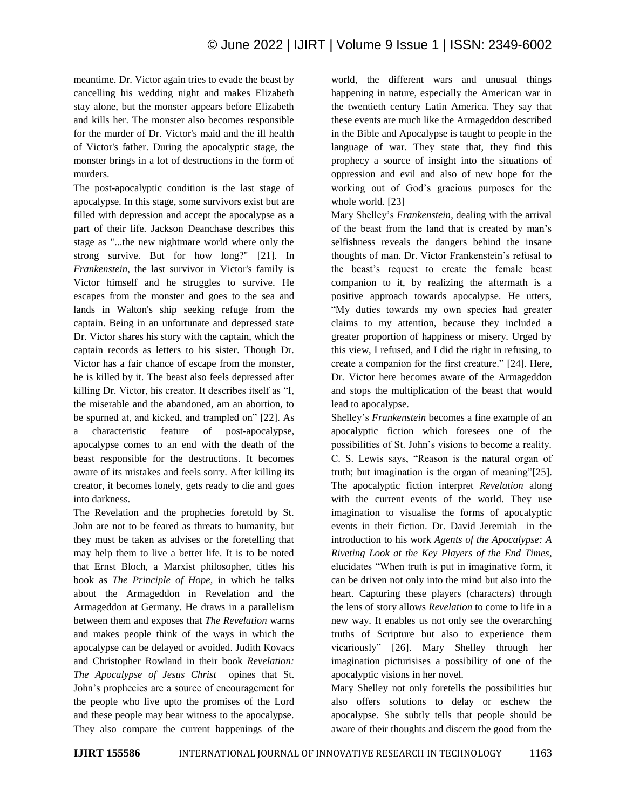meantime. Dr. Victor again tries to evade the beast by cancelling his wedding night and makes Elizabeth stay alone, but the monster appears before Elizabeth and kills her. The monster also becomes responsible for the murder of Dr. Victor's maid and the ill health of Victor's father. During the apocalyptic stage, the monster brings in a lot of destructions in the form of murders.

The post-apocalyptic condition is the last stage of apocalypse. In this stage, some survivors exist but are filled with depression and accept the apocalypse as a part of their life. Jackson Deanchase describes this stage as "...the new nightmare world where only the strong survive. But for how long?" [21]. In *Frankenstein*, the last survivor in Victor's family is Victor himself and he struggles to survive. He escapes from the monster and goes to the sea and lands in Walton's ship seeking refuge from the captain. Being in an unfortunate and depressed state Dr. Victor shares his story with the captain, which the captain records as letters to his sister. Though Dr. Victor has a fair chance of escape from the monster, he is killed by it. The beast also feels depressed after killing Dr. Victor, his creator. It describes itself as "I, the miserable and the abandoned, am an abortion, to be spurned at, and kicked, and trampled on" [22]. As a characteristic feature of post-apocalypse, apocalypse comes to an end with the death of the beast responsible for the destructions. It becomes aware of its mistakes and feels sorry. After killing its creator, it becomes lonely, gets ready to die and goes into darkness.

The Revelation and the prophecies foretold by St. John are not to be feared as threats to humanity, but they must be taken as advises or the foretelling that may help them to live a better life. It is to be noted that Ernst Bloch, a Marxist philosopher, titles his book as *The Principle of Hope,* in which he talks about the Armageddon in Revelation and the Armageddon at Germany. He draws in a parallelism between them and exposes that *The Revelation* warns and makes people think of the ways in which the apocalypse can be delayed or avoided. Judith Kovacs and Christopher Rowland in their book *Revelation: The Apocalypse of Jesus Christ* opines that St. John"s prophecies are a source of encouragement for the people who live upto the promises of the Lord and these people may bear witness to the apocalypse. They also compare the current happenings of the world, the different wars and unusual things happening in nature, especially the American war in the twentieth century Latin America. They say that these events are much like the Armageddon described in the Bible and Apocalypse is taught to people in the language of war. They state that, they find this prophecy a source of insight into the situations of oppression and evil and also of new hope for the working out of God"s gracious purposes for the whole world. [23]

Mary Shelley"s *Frankenstein*, dealing with the arrival of the beast from the land that is created by man"s selfishness reveals the dangers behind the insane thoughts of man. Dr. Victor Frankenstein"s refusal to the beast"s request to create the female beast companion to it, by realizing the aftermath is a positive approach towards apocalypse. He utters, "My duties towards my own species had greater claims to my attention, because they included a greater proportion of happiness or misery. Urged by this view, I refused, and I did the right in refusing, to create a companion for the first creature." [24]. Here, Dr. Victor here becomes aware of the Armageddon and stops the multiplication of the beast that would lead to apocalypse.

Shelley"s *Frankenstein* becomes a fine example of an apocalyptic fiction which foresees one of the possibilities of St. John"s visions to become a reality. C. S. Lewis says, "Reason is the natural organ of truth; but imagination is the organ of meaning"[25]. The apocalyptic fiction interpret *Revelation* along with the current events of the world. They use imagination to visualise the forms of apocalyptic events in their fiction. Dr. David Jeremiah in the introduction to his work *Agents of the Apocalypse: A Riveting Look at the Key Players of the End Times*, elucidates "When truth is put in imaginative form, it can be driven not only into the mind but also into the heart. Capturing these players (characters) through the lens of story allows *Revelation* to come to life in a new way. It enables us not only see the overarching truths of Scripture but also to experience them vicariously" [26]. Mary Shelley through her imagination picturisises a possibility of one of the apocalyptic visions in her novel.

Mary Shelley not only foretells the possibilities but also offers solutions to delay or eschew the apocalypse. She subtly tells that people should be aware of their thoughts and discern the good from the